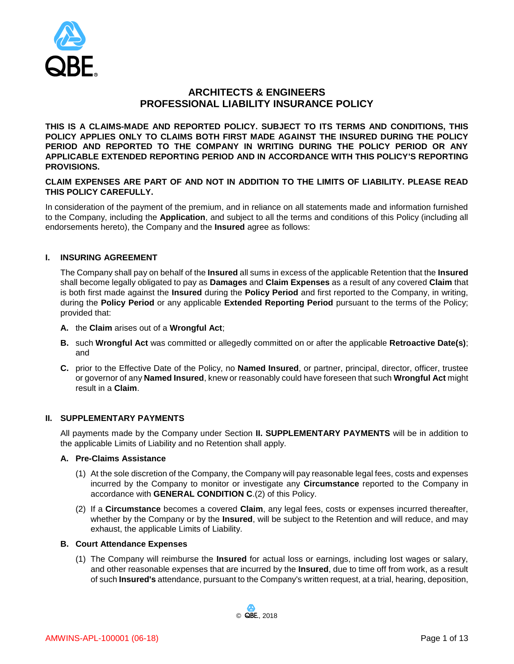

# **ARCHITECTS & ENGINEERS PROFESSIONAL LIABILITY INSURANCE POLICY**

**THIS IS A CLAIMS-MADE AND REPORTED POLICY. SUBJECT TO ITS TERMS AND CONDITIONS, THIS POLICY APPLIES ONLY TO CLAIMS BOTH FIRST MADE AGAINST THE INSURED DURING THE POLICY PERIOD AND REPORTED TO THE COMPANY IN WRITING DURING THE POLICY PERIOD OR ANY APPLICABLE EXTENDED REPORTING PERIOD AND IN ACCORDANCE WITH THIS POLICY'S REPORTING PROVISIONS.** 

**CLAIM EXPENSES ARE PART OF AND NOT IN ADDITION TO THE LIMITS OF LIABILITY. PLEASE READ THIS POLICY CAREFULLY.**

In consideration of the payment of the premium, and in reliance on all statements made and information furnished to the Company, including the **Application**, and subject to all the terms and conditions of this Policy (including all endorsements hereto), the Company and the **Insured** agree as follows:

## **I. INSURING AGREEMENT**

The Company shall pay on behalf of the **Insured** all sums in excess of the applicable Retention that the **Insured** shall become legally obligated to pay as **Damages** and **Claim Expenses** as a result of any covered **Claim** that is both first made against the **Insured** during the **Policy Period** and first reported to the Company, in writing, during the **Policy Period** or any applicable **Extended Reporting Period** pursuant to the terms of the Policy; provided that:

- **A.** the **Claim** arises out of a **Wrongful Act**;
- **B.** such **Wrongful Act** was committed or allegedly committed on or after the applicable **Retroactive Date(s)**; and
- **C.** prior to the Effective Date of the Policy, no **Named Insured**, or partner, principal, director, officer, trustee or governor of any **Named Insured**, knew or reasonably could have foreseen that such **Wrongful Act** might result in a **Claim**.

#### **II. SUPPLEMENTARY PAYMENTS**

All payments made by the Company under Section **II. SUPPLEMENTARY PAYMENTS** will be in addition to the applicable Limits of Liability and no Retention shall apply.

#### **A. Pre-Claims Assistance**

- (1) At the sole discretion of the Company, the Company will pay reasonable legal fees, costs and expenses incurred by the Company to monitor or investigate any **Circumstance** reported to the Company in accordance with **GENERAL CONDITION C**.(2) of this Policy.
- (2) If a **Circumstance** becomes a covered **Claim**, any legal fees, costs or expenses incurred thereafter, whether by the Company or by the **Insured**, will be subject to the Retention and will reduce, and may exhaust, the applicable Limits of Liability.

#### **B. Court Attendance Expenses**

(1) The Company will reimburse the **Insured** for actual loss or earnings, including lost wages or salary, and other reasonable expenses that are incurred by the **Insured**, due to time off from work, as a result of such **Insured's** attendance, pursuant to the Company's written request, at a trial, hearing, deposition,

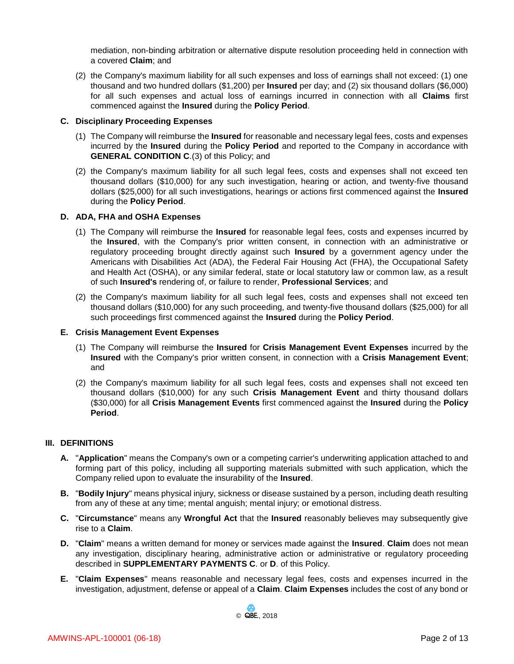mediation, non-binding arbitration or alternative dispute resolution proceeding held in connection with a covered **Claim**; and

(2) the Company's maximum liability for all such expenses and loss of earnings shall not exceed: (1) one thousand and two hundred dollars (\$1,200) per **Insured** per day; and (2) six thousand dollars (\$6,000) for all such expenses and actual loss of earnings incurred in connection with all **Claims** first commenced against the **Insured** during the **Policy Period**.

#### **C. Disciplinary Proceeding Expenses**

- (1) The Company will reimburse the **Insured** for reasonable and necessary legal fees, costs and expenses incurred by the **Insured** during the **Policy Period** and reported to the Company in accordance with **GENERAL CONDITION C**.(3) of this Policy; and
- (2) the Company's maximum liability for all such legal fees, costs and expenses shall not exceed ten thousand dollars (\$10,000) for any such investigation, hearing or action, and twenty-five thousand dollars (\$25,000) for all such investigations, hearings or actions first commenced against the **Insured** during the **Policy Period**.

## **D. ADA, FHA and OSHA Expenses**

- (1) The Company will reimburse the **Insured** for reasonable legal fees, costs and expenses incurred by the **Insured**, with the Company's prior written consent, in connection with an administrative or regulatory proceeding brought directly against such **Insured** by a government agency under the Americans with Disabilities Act (ADA), the Federal Fair Housing Act (FHA), the Occupational Safety and Health Act (OSHA), or any similar federal, state or local statutory law or common law, as a result of such **Insured's** rendering of, or failure to render, **Professional Services**; and
- (2) the Company's maximum liability for all such legal fees, costs and expenses shall not exceed ten thousand dollars (\$10,000) for any such proceeding, and twenty-five thousand dollars (\$25,000) for all such proceedings first commenced against the **Insured** during the **Policy Period**.

#### **E. Crisis Management Event Expenses**

- (1) The Company will reimburse the **Insured** for **Crisis Management Event Expenses** incurred by the **Insured** with the Company's prior written consent, in connection with a **Crisis Management Event**; and
- (2) the Company's maximum liability for all such legal fees, costs and expenses shall not exceed ten thousand dollars (\$10,000) for any such **Crisis Management Event** and thirty thousand dollars (\$30,000) for all **Crisis Management Events** first commenced against the **Insured** during the **Policy Period**.

#### **III. DEFINITIONS**

- **A.** "**Application**" means the Company's own or a competing carrier's underwriting application attached to and forming part of this policy, including all supporting materials submitted with such application, which the Company relied upon to evaluate the insurability of the **Insured**.
- **B.** "**Bodily Injury**" means physical injury, sickness or disease sustained by a person, including death resulting from any of these at any time; mental anguish; mental injury; or emotional distress.
- **C.** "**Circumstance**" means any **Wrongful Act** that the **Insured** reasonably believes may subsequently give rise to a **Claim**.
- **D.** "**Claim**" means a written demand for money or services made against the **Insured**. **Claim** does not mean any investigation, disciplinary hearing, administrative action or administrative or regulatory proceeding described in **SUPPLEMENTARY PAYMENTS C**. or **D**. of this Policy.
- **E.** "**Claim Expenses**" means reasonable and necessary legal fees, costs and expenses incurred in the investigation, adjustment, defense or appeal of a **Claim**. **Claim Expenses** includes the cost of any bond or

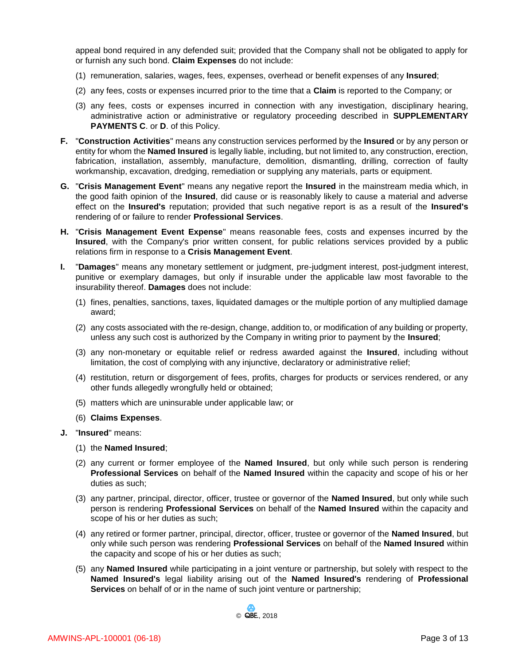appeal bond required in any defended suit; provided that the Company shall not be obligated to apply for or furnish any such bond. **Claim Expenses** do not include:

- (1) remuneration, salaries, wages, fees, expenses, overhead or benefit expenses of any **Insured**;
- (2) any fees, costs or expenses incurred prior to the time that a **Claim** is reported to the Company; or
- (3) any fees, costs or expenses incurred in connection with any investigation, disciplinary hearing, administrative action or administrative or regulatory proceeding described in **SUPPLEMENTARY PAYMENTS C**. or **D**. of this Policy.
- **F.** "**Construction Activities**" means any construction services performed by the **Insured** or by any person or entity for whom the **Named Insured** is legally liable, including, but not limited to, any construction, erection, fabrication, installation, assembly, manufacture, demolition, dismantling, drilling, correction of faulty workmanship, excavation, dredging, remediation or supplying any materials, parts or equipment.
- **G.** "**Crisis Management Event**" means any negative report the **Insured** in the mainstream media which, in the good faith opinion of the **Insured**, did cause or is reasonably likely to cause a material and adverse effect on the **Insured's** reputation; provided that such negative report is as a result of the **Insured's** rendering of or failure to render **Professional Services**.
- **H.** "**Crisis Management Event Expense**" means reasonable fees, costs and expenses incurred by the **Insured**, with the Company's prior written consent, for public relations services provided by a public relations firm in response to a **Crisis Management Event**.
- **I.** "**Damages**" means any monetary settlement or judgment, pre-judgment interest, post-judgment interest, punitive or exemplary damages, but only if insurable under the applicable law most favorable to the insurability thereof. **Damages** does not include:
	- (1) fines, penalties, sanctions, taxes, liquidated damages or the multiple portion of any multiplied damage award;
	- (2) any costs associated with the re-design, change, addition to, or modification of any building or property, unless any such cost is authorized by the Company in writing prior to payment by the **Insured**;
	- (3) any non-monetary or equitable relief or redress awarded against the **Insured**, including without limitation, the cost of complying with any injunctive, declaratory or administrative relief;
	- (4) restitution, return or disgorgement of fees, profits, charges for products or services rendered, or any other funds allegedly wrongfully held or obtained;
	- (5) matters which are uninsurable under applicable law; or
	- (6) **Claims Expenses**.
- **J.** "**Insured**" means:
	- (1) the **Named Insured**;
	- (2) any current or former employee of the **Named Insured**, but only while such person is rendering **Professional Services** on behalf of the **Named Insured** within the capacity and scope of his or her duties as such;
	- (3) any partner, principal, director, officer, trustee or governor of the **Named Insured**, but only while such person is rendering **Professional Services** on behalf of the **Named Insured** within the capacity and scope of his or her duties as such;
	- (4) any retired or former partner, principal, director, officer, trustee or governor of the **Named Insured**, but only while such person was rendering **Professional Services** on behalf of the **Named Insured** within the capacity and scope of his or her duties as such;
	- (5) any **Named Insured** while participating in a joint venture or partnership, but solely with respect to the **Named lnsured's** legal liability arising out of the **Named lnsured's** rendering of **Professional Services** on behalf of or in the name of such joint venture or partnership;

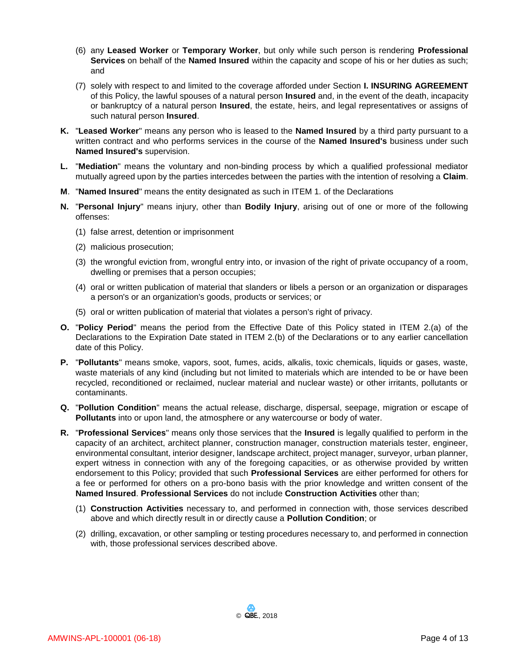- (6) any **Leased Worker** or **Temporary Worker**, but only while such person is rendering **Professional Services** on behalf of the **Named Insured** within the capacity and scope of his or her duties as such; and
- (7) solely with respect to and limited to the coverage afforded under Section **I. INSURING AGREEMENT** of this Policy, the lawful spouses of a natural person **Insured** and, in the event of the death, incapacity or bankruptcy of a natural person **Insured**, the estate, heirs, and legal representatives or assigns of such natural person **Insured**.
- **K.** "**Leased Worker**" means any person who is leased to the **Named Insured** by a third party pursuant to a written contract and who performs services in the course of the **Named Insured's** business under such **Named Insured's** supervision.
- **L.** "**Mediation**" means the voluntary and non-binding process by which a qualified professional mediator mutually agreed upon by the parties intercedes between the parties with the intention of resolving a **Claim**.
- **M**. "**Named Insured**" means the entity designated as such in ITEM 1. of the Declarations
- **N.** "**Personal Injury**" means injury, other than **Bodily Injury**, arising out of one or more of the following offenses:
	- (1) false arrest, detention or imprisonment
	- (2) malicious prosecution;
	- (3) the wrongful eviction from, wrongful entry into, or invasion of the right of private occupancy of a room, dwelling or premises that a person occupies;
	- (4) oral or written publication of material that slanders or libels a person or an organization or disparages a person's or an organization's goods, products or services; or
	- (5) oral or written publication of material that violates a person's right of privacy.
- **O.** "**Policy Period**" means the period from the Effective Date of this Policy stated in ITEM 2.(a) of the Declarations to the Expiration Date stated in ITEM 2.(b) of the Declarations or to any earlier cancellation date of this Policy.
- **P.** "**Pollutants**" means smoke, vapors, soot, fumes, acids, alkalis, toxic chemicals, liquids or gases, waste, waste materials of any kind (including but not limited to materials which are intended to be or have been recycled, reconditioned or reclaimed, nuclear material and nuclear waste) or other irritants, pollutants or contaminants.
- **Q.** "**Pollution Condition**" means the actual release, discharge, dispersal, seepage, migration or escape of **Pollutants** into or upon land, the atmosphere or any watercourse or body of water.
- **R.** "**Professional Services**" means only those services that the **Insured** is legally qualified to perform in the capacity of an architect, architect planner, construction manager, construction materials tester, engineer, environmental consultant, interior designer, landscape architect, project manager, surveyor, urban planner, expert witness in connection with any of the foregoing capacities, or as otherwise provided by written endorsement to this Policy; provided that such **Professional Services** are either performed for others for a fee or performed for others on a pro-bono basis with the prior knowledge and written consent of the **Named Insured**. **Professional Services** do not include **Construction Activities** other than;
	- (1) **Construction Activities** necessary to, and performed in connection with, those services described above and which directly result in or directly cause a **Pollution Condition**; or
	- (2) drilling, excavation, or other sampling or testing procedures necessary to, and performed in connection with, those professional services described above.

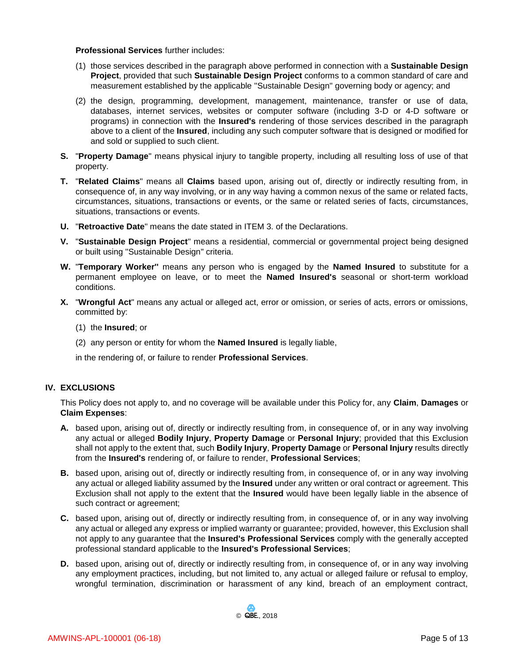#### **Professional Services** further includes:

- (1) those services described in the paragraph above performed in connection with a **Sustainable Design Project**, provided that such **Sustainable Design Project** conforms to a common standard of care and measurement established by the applicable "Sustainable Design" governing body or agency; and
- (2) the design, programming, development, management, maintenance, transfer or use of data, databases, internet services, websites or computer software (including 3-D or 4-D software or programs) in connection with the **Insured's** rendering of those services described in the paragraph above to a client of the **Insured**, including any such computer software that is designed or modified for and sold or supplied to such client.
- **S.** "**Property Damage**" means physical injury to tangible property, including all resulting loss of use of that property.
- **T.** "**Related Claims**" means all **Claims** based upon, arising out of, directly or indirectly resulting from, in consequence of, in any way involving, or in any way having a common nexus of the same or related facts, circumstances, situations, transactions or events, or the same or related series of facts, circumstances, situations, transactions or events.
- **U.** "**Retroactive Date**" means the date stated in ITEM 3. of the Declarations.
- **V.** "**Sustainable Design Project**" means a residential, commercial or governmental project being designed or built using "Sustainable Design" criteria.
- **W.** "**Temporary Worker''** means any person who is engaged by the **Named Insured** to substitute for a permanent employee on leave, or to meet the **Named Insured's** seasonal or short-term workload conditions.
- **X.** "**Wrongful Act**" means any actual or alleged act, error or omission, or series of acts, errors or omissions, committed by:
	- (1) the **Insured**; or
	- (2) any person or entity for whom the **Named Insured** is legally liable,
	- in the rendering of, or failure to render **Professional Services**.

## **IV. EXCLUSIONS**

This Policy does not apply to, and no coverage will be available under this Policy for, any **Claim**, **Damages** or **Claim Expenses**:

- **A.** based upon, arising out of, directly or indirectly resulting from, in consequence of, or in any way involving any actual or alleged **Bodily Injury**, **Property Damage** or **Personal Injury**; provided that this Exclusion shall not apply to the extent that, such **Bodily Injury**, **Property Damage** or **Personal Injury** results directly from the **Insured's** rendering of, or failure to render, **Professional Services**;
- **B.** based upon, arising out of, directly or indirectly resulting from, in consequence of, or in any way involving any actual or alleged liability assumed by the **Insured** under any written or oral contract or agreement. This Exclusion shall not apply to the extent that the **Insured** would have been legally liable in the absence of such contract or agreement;
- **C.** based upon, arising out of, directly or indirectly resulting from, in consequence of, or in any way involving any actual or alleged any express or implied warranty or guarantee; provided, however, this Exclusion shall not apply to any guarantee that the **Insured's Professional Services** comply with the generally accepted professional standard applicable to the **Insured's Professional Services**;
- **D.** based upon, arising out of, directly or indirectly resulting from, in consequence of, or in any way involving any employment practices, including, but not limited to, any actual or alleged failure or refusal to employ, wrongful termination, discrimination or harassment of any kind, breach of an employment contract,

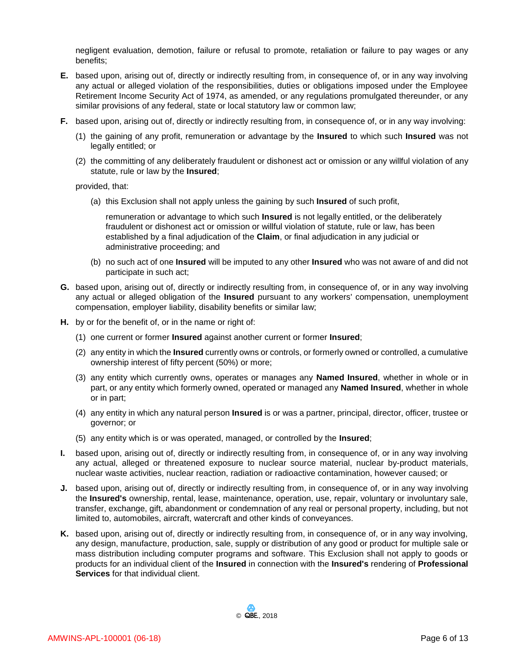negligent evaluation, demotion, failure or refusal to promote, retaliation or failure to pay wages or any benefits;

- **E.** based upon, arising out of, directly or indirectly resulting from, in consequence of, or in any way involving any actual or alleged violation of the responsibilities, duties or obligations imposed under the Employee Retirement Income Security Act of 1974, as amended, or any regulations promulgated thereunder, or any similar provisions of any federal, state or local statutory law or common law;
- **F.** based upon, arising out of, directly or indirectly resulting from, in consequence of, or in any way involving:
	- (1) the gaining of any profit, remuneration or advantage by the **Insured** to which such **Insured** was not legally entitled; or
	- (2) the committing of any deliberately fraudulent or dishonest act or omission or any willful violation of any statute, rule or law by the **Insured**;

provided, that:

(a) this Exclusion shall not apply unless the gaining by such **Insured** of such profit,

remuneration or advantage to which such **Insured** is not legally entitled, or the deliberately fraudulent or dishonest act or omission or willful violation of statute, rule or law, has been established by a final adjudication of the **Claim**, or final adjudication in any judicial or administrative proceeding; and

- (b) no such act of one **Insured** will be imputed to any other **Insured** who was not aware of and did not participate in such act;
- **G.** based upon, arising out of, directly or indirectly resulting from, in consequence of, or in any way involving any actual or alleged obligation of the **Insured** pursuant to any workers' compensation, unemployment compensation, employer liability, disability benefits or similar law;
- **H.** by or for the benefit of, or in the name or right of:
	- (1) one current or former **Insured** against another current or former **Insured**;
	- (2) any entity in which the **Insured** currently owns or controls, or formerly owned or controlled, a cumulative ownership interest of fifty percent (50%) or more;
	- (3) any entity which currently owns, operates or manages any **Named Insured**, whether in whole or in part, or any entity which formerly owned, operated or managed any **Named Insured**, whether in whole or in part;
	- (4) any entity in which any natural person **Insured** is or was a partner, principal, director, officer, trustee or governor; or
	- (5) any entity which is or was operated, managed, or controlled by the **Insured**;
- **I.** based upon, arising out of, directly or indirectly resulting from, in consequence of, or in any way involving any actual, alleged or threatened exposure to nuclear source material, nuclear by-product materials, nuclear waste activities, nuclear reaction, radiation or radioactive contamination, however caused; or
- **J.** based upon, arising out of, directly or indirectly resulting from, in consequence of, or in any way involving the **Insured's** ownership, rental, lease, maintenance, operation, use, repair, voluntary or involuntary sale, transfer, exchange, gift, abandonment or condemnation of any real or personal property, including, but not limited to, automobiles, aircraft, watercraft and other kinds of conveyances.
- **K.** based upon, arising out of, directly or indirectly resulting from, in consequence of, or in any way involving, any design, manufacture, production, sale, supply or distribution of any good or product for multiple sale or mass distribution including computer programs and software. This Exclusion shall not apply to goods or products for an individual client of the **Insured** in connection with the **Insured's** rendering of **Professional Services** for that individual client.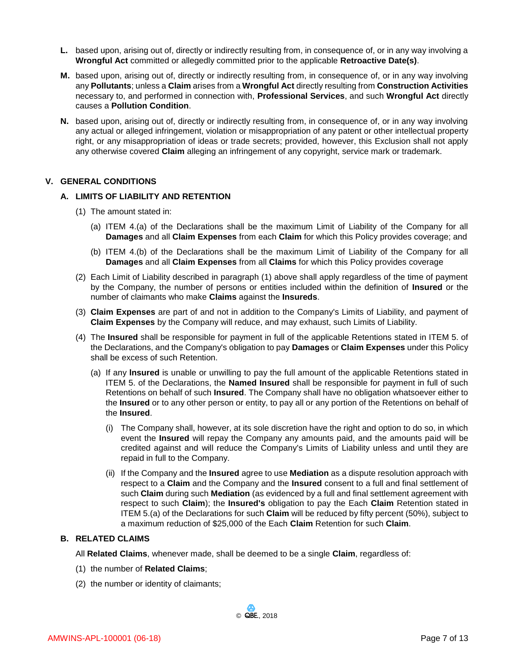- **L.** based upon, arising out of, directly or indirectly resulting from, in consequence of, or in any way involving a **Wrongful Act** committed or allegedly committed prior to the applicable **Retroactive Date(s)**.
- **M.** based upon, arising out of, directly or indirectly resulting from, in consequence of, or in any way involving any **Pollutants**; unless a **Claim** arises from a **Wrongful Act** directly resulting from **Construction Activities** necessary to, and performed in connection with, **Professional Services**, and such **Wrongful Act** directly causes a **Pollution Condition**.
- **N.** based upon, arising out of, directly or indirectly resulting from, in consequence of, or in any way involving any actual or alleged infringement, violation or misappropriation of any patent or other intellectual property right, or any misappropriation of ideas or trade secrets; provided, however, this Exclusion shall not apply any otherwise covered **Claim** alleging an infringement of any copyright, service mark or trademark.

#### **V. GENERAL CONDITIONS**

#### **A. LIMITS OF LIABILITY AND RETENTION**

- (1) The amount stated in:
	- (a) ITEM 4.(a) of the Declarations shall be the maximum Limit of Liability of the Company for all **Damages** and all **Claim Expenses** from each **Claim** for which this Policy provides coverage; and
	- (b) ITEM 4.(b) of the Declarations shall be the maximum Limit of Liability of the Company for all **Damages** and all **Claim Expenses** from all **Claims** for which this Policy provides coverage
- (2) Each Limit of Liability described in paragraph (1) above shall apply regardless of the time of payment by the Company, the number of persons or entities included within the definition of **Insured** or the number of claimants who make **Claims** against the **Insureds**.
- (3) **Claim Expenses** are part of and not in addition to the Company's Limits of Liability, and payment of **Claim Expenses** by the Company will reduce, and may exhaust, such Limits of Liability.
- (4) The **Insured** shall be responsible for payment in full of the applicable Retentions stated in ITEM 5. of the Declarations, and the Company's obligation to pay **Damages** or **Claim Expenses** under this Policy shall be excess of such Retention.
	- (a) If any **lnsured** is unable or unwilling to pay the full amount of the applicable Retentions stated in ITEM 5. of the Declarations, the **Named Insured** shall be responsible for payment in full of such Retentions on behalf of such **Insured**. The Company shall have no obligation whatsoever either to the **Insured** or to any other person or entity, to pay all or any portion of the Retentions on behalf of the **Insured**.
		- (i) The Company shall, however, at its sole discretion have the right and option to do so, in which event the **Insured** will repay the Company any amounts paid, and the amounts paid will be credited against and will reduce the Company's Limits of Liability unless and until they are repaid in full to the Company.
		- (ii) If the Company and the **Insured** agree to use **Mediation** as a dispute resolution approach with respect to a **Claim** and the Company and the **Insured** consent to a full and final settlement of such **Claim** during such **Mediation** (as evidenced by a full and final settlement agreement with respect to such **Claim**); the **Insured's** obligation to pay the Each **Claim** Retention stated in ITEM 5.(a) of the Declarations for such **Claim** will be reduced by fifty percent (50%), subject to a maximum reduction of \$25,000 of the Each **Claim** Retention for such **Claim**.

#### **B. RELATED CLAIMS**

All **Related Claims**, whenever made, shall be deemed to be a single **Claim**, regardless of:

- (1) the number of **Related Claims**;
- (2) the number or identity of claimants;

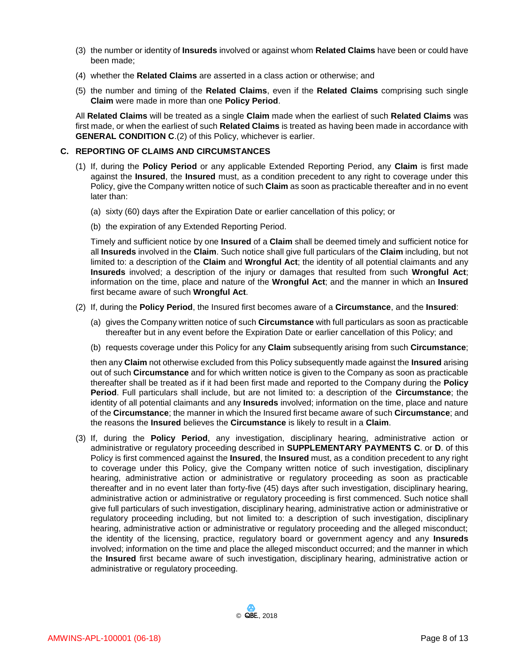- (3) the number or identity of **Insureds** involved or against whom **Related Claims** have been or could have been made;
- (4) whether the **Related Claims** are asserted in a class action or otherwise; and
- (5) the number and timing of the **Related Claims**, even if the **Related Claims** comprising such single **Claim** were made in more than one **Policy Period**.

All **Related Claims** will be treated as a single **Claim** made when the earliest of such **Related Claims** was first made, or when the earliest of such **Related Claims** is treated as having been made in accordance with **GENERAL CONDITION C**.(2) of this Policy, whichever is earlier.

#### **C. REPORTING OF CLAIMS AND CIRCUMSTANCES**

- (1) If, during the **Policy Period** or any applicable Extended Reporting Period, any **Claim** is first made against the **Insured**, the **Insured** must, as a condition precedent to any right to coverage under this Policy, give the Company written notice of such **Claim** as soon as practicable thereafter and in no event later than:
	- (a) sixty (60) days after the Expiration Date or earlier cancellation of this policy; or
	- (b) the expiration of any Extended Reporting Period.

Timely and sufficient notice by one **Insured** of a **Claim** shall be deemed timely and sufficient notice for all **Insureds** involved in the **Claim**. Such notice shall give full particulars of the **Claim** including, but not limited to: a description of the **Claim** and **Wrongful Act**; the identity of all potential claimants and any **Insureds** involved; a description of the injury or damages that resulted from such **Wrongful Act**; information on the time, place and nature of the **Wrongful Act**; and the manner in which an **Insured** first became aware of such **Wrongful Act**.

- (2) If, during the **Policy Period**, the Insured first becomes aware of a **Circumstance**, and the **Insured**:
	- (a) gives the Company written notice of such **Circumstance** with full particulars as soon as practicable thereafter but in any event before the Expiration Date or earlier cancellation of this Policy; and
	- (b) requests coverage under this Policy for any **Claim** subsequently arising from such **Circumstance**;

then any **Claim** not otherwise excluded from this Policy subsequently made against the **Insured** arising out of such **Circumstance** and for which written notice is given to the Company as soon as practicable thereafter shall be treated as if it had been first made and reported to the Company during the **Policy Period**. Full particulars shall include, but are not limited to: a description of the **Circumstance**; the identity of all potential claimants and any **Insureds** involved; information on the time, place and nature of the **Circumstance**; the manner in which the Insured first became aware of such **Circumstance**; and the reasons the **Insured** believes the **Circumstance** is likely to result in a **Claim**.

(3) If, during the **Policy Period**, any investigation, disciplinary hearing, administrative action or administrative or regulatory proceeding described in **SUPPLEMENTARY PAYMENTS C**. or **D**. of this Policy is first commenced against the **Insured**, the **Insured** must, as a condition precedent to any right to coverage under this Policy, give the Company written notice of such investigation, disciplinary hearing, administrative action or administrative or regulatory proceeding as soon as practicable thereafter and in no event later than forty-five (45) days after such investigation, disciplinary hearing, administrative action or administrative or regulatory proceeding is first commenced. Such notice shall give full particulars of such investigation, disciplinary hearing, administrative action or administrative or regulatory proceeding including, but not limited to: a description of such investigation, disciplinary hearing, administrative action or administrative or regulatory proceeding and the alleged misconduct; the identity of the licensing, practice, regulatory board or government agency and any **Insureds** involved; information on the time and place the alleged misconduct occurred; and the manner in which the **Insured** first became aware of such investigation, disciplinary hearing, administrative action or administrative or regulatory proceeding.

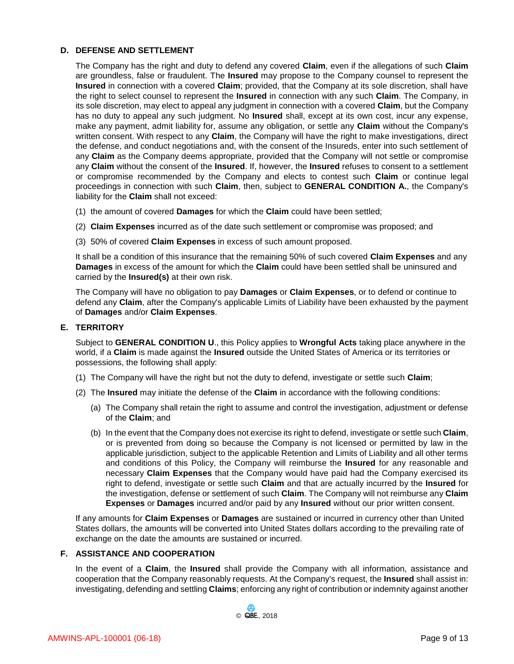## **D. DEFENSE AND SETTLEMENT**

The Company has the right and duty to defend any covered **Claim**, even if the allegations of such **Claim** are groundless, false or fraudulent. The **Insured** may propose to the Company counsel to represent the **Insured** in connection with a covered **Claim**; provided, that the Company at its sole discretion, shall have the right to select counsel to represent the **Insured** in connection with any such **Claim**. The Company, in its sole discretion, may elect to appeal any judgment in connection with a covered **Claim**, but the Company has no duty to appeal any such judgment. No **Insured** shall, except at its own cost, incur any expense, make any payment, admit liability for, assume any obligation, or settle any **Claim** without the Company's written consent. With respect to any **Claim**, the Company will have the right to make investigations, direct the defense, and conduct negotiations and, with the consent of the Insureds, enter into such settlement of any **Claim** as the Company deems appropriate, provided that the Company will not settle or compromise any **Claim** without the consent of the **Insured**. If, however, the **Insured** refuses to consent to a settlement or compromise recommended by the Company and elects to contest such **Claim** or continue legal proceedings in connection with such **Claim**, then, subject to **GENERAL CONDITION A.**, the Company's liability for the **Claim** shall not exceed:

- (1) the amount of covered **Damages** for which the **Claim** could have been settled;
- (2) **Claim Expenses** incurred as of the date such settlement or compromise was proposed; and
- (3) 50% of covered **Claim Expenses** in excess of such amount proposed.

It shall be a condition of this insurance that the remaining 50% of such covered **Claim Expenses** and any **Damages** in excess of the amount for which the **Claim** could have been settled shall be uninsured and carried by the **Insured(s)** at their own risk.

The Company will have no obligation to pay **Damages** or **Claim Expenses**, or to defend or continue to defend any **Claim**, after the Company's applicable Limits of Liability have been exhausted by the payment of **Damages** and/or **Claim Expenses**.

## **E. TERRITORY**

Subject to **GENERAL CONDITION U**., this Policy applies to **Wrongful Acts** taking place anywhere in the world, if a **Claim** is made against the **Insured** outside the United States of America or its territories or possessions, the following shall apply:

- (1) The Company will have the right but not the duty to defend, investigate or settle such **Claim**;
- (2) The **Insured** may initiate the defense of the **Claim** in accordance with the following conditions:
	- (a) The Company shall retain the right to assume and control the investigation, adjustment or defense of the **Claim**; and
	- (b) In the event that the Company does not exercise its right to defend, investigate or settle such **Claim**, or is prevented from doing so because the Company is not licensed or permitted by law in the applicable jurisdiction, subject to the applicable Retention and Limits of Liability and all other terms and conditions of this Policy, the Company will reimburse the **Insured** for any reasonable and necessary **Claim Expenses** that the Company would have paid had the Company exercised its right to defend, investigate or settle such **Claim** and that are actually incurred by the **Insured** for the investigation, defense or settlement of such **Claim**. The Company will not reimburse any **Claim Expenses** or **Damages** incurred and/or paid by any **Insured** without our prior written consent.

If any amounts for **Claim Expenses** or **Damages** are sustained or incurred in currency other than United States dollars, the amounts will be converted into United States dollars according to the prevailing rate of exchange on the date the amounts are sustained or incurred.

## **F. ASSISTANCE AND COOPERATION**

In the event of a **Claim**, the **Insured** shall provide the Company with all information, assistance and cooperation that the Company reasonably requests. At the Company's request, the **Insured** shall assist in: investigating, defending and settling **Claims**; enforcing any right of contribution or indemnity against another

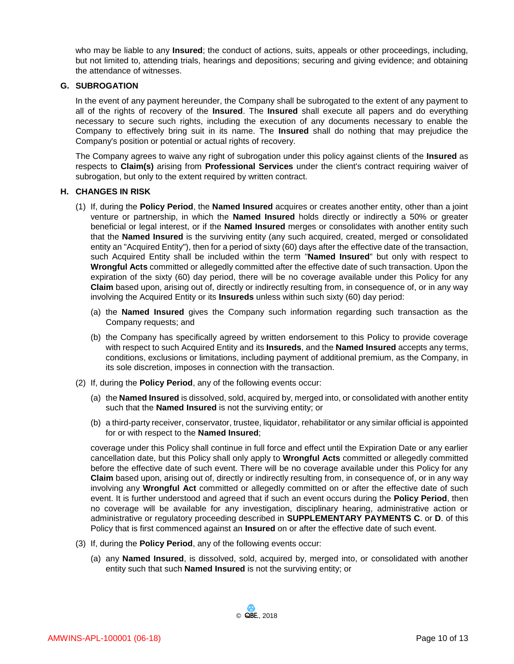who may be liable to any **Insured**; the conduct of actions, suits, appeals or other proceedings, including, but not limited to, attending trials, hearings and depositions; securing and giving evidence; and obtaining the attendance of witnesses.

#### **G. SUBROGATION**

In the event of any payment hereunder, the Company shall be subrogated to the extent of any payment to all of the rights of recovery of the **Insured**. The **Insured** shall execute all papers and do everything necessary to secure such rights, including the execution of any documents necessary to enable the Company to effectively bring suit in its name. The **Insured** shall do nothing that may prejudice the Company's position or potential or actual rights of recovery.

The Company agrees to waive any right of subrogation under this policy against clients of the **Insured** as respects to **Claim(s)** arising from **Professional Services** under the client's contract requiring waiver of subrogation, but only to the extent required by written contract.

#### **H. CHANGES IN RISK**

- (1) If, during the **Policy Period**, the **Named Insured** acquires or creates another entity, other than a joint venture or partnership, in which the **Named Insured** holds directly or indirectly a 50% or greater beneficial or legal interest, or if the **Named Insured** merges or consolidates with another entity such that the **Named Insured** is the surviving entity (any such acquired, created, merged or consolidated entity an "Acquired Entity"), then for a period of sixty (60) days after the effective date of the transaction, such Acquired Entity shall be included within the term "**Named Insured**" but only with respect to **Wrongful Acts** committed or allegedly committed after the effective date of such transaction. Upon the expiration of the sixty (60) day period, there will be no coverage available under this Policy for any **Claim** based upon, arising out of, directly or indirectly resulting from, in consequence of, or in any way involving the Acquired Entity or its **Insureds** unless within such sixty (60) day period:
	- (a) the **Named Insured** gives the Company such information regarding such transaction as the Company requests; and
	- (b) the Company has specifically agreed by written endorsement to this Policy to provide coverage with respect to such Acquired Entity and its **Insureds**, and the **Named Insured** accepts any terms, conditions, exclusions or limitations, including payment of additional premium, as the Company, in its sole discretion, imposes in connection with the transaction.
- (2) If, during the **Policy Period**, any of the following events occur:
	- (a) the **Named Insured** is dissolved, sold, acquired by, merged into, or consolidated with another entity such that the **Named Insured** is not the surviving entity; or
	- (b) a third-party receiver, conservator, trustee, liquidator, rehabilitator or any similar official is appointed for or with respect to the **Named Insured**;

coverage under this Policy shall continue in full force and effect until the Expiration Date or any earlier cancellation date, but this Policy shall only apply to **Wrongful Acts** committed or allegedly committed before the effective date of such event. There will be no coverage available under this Policy for any **Claim** based upon, arising out of, directly or indirectly resulting from, in consequence of, or in any way involving any **Wrongful Act** committed or allegedly committed on or after the effective date of such event. It is further understood and agreed that if such an event occurs during the **Policy Period**, then no coverage will be available for any investigation, disciplinary hearing, administrative action or administrative or regulatory proceeding described in **SUPPLEMENTARY PAYMENTS C**. or **D**. of this Policy that is first commenced against an **Insured** on or after the effective date of such event.

- (3) If, during the **Policy Period**, any of the following events occur:
	- (a) any **Named Insured**, is dissolved, sold, acquired by, merged into, or consolidated with another entity such that such **Named Insured** is not the surviving entity; or

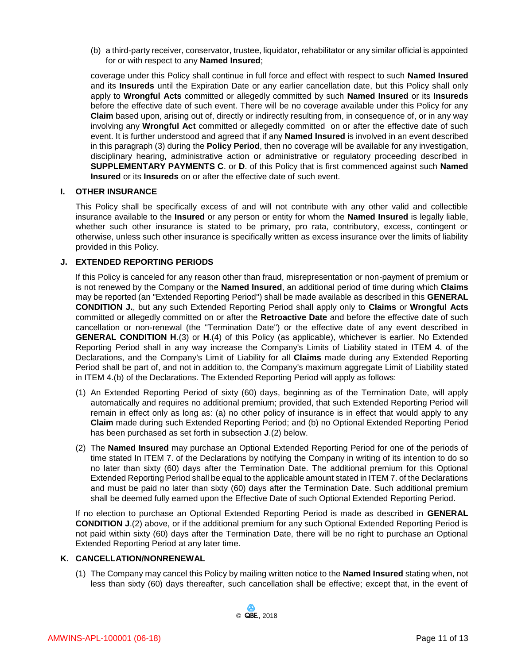(b) a third-party receiver, conservator, trustee, liquidator, rehabilitator or any similar official is appointed for or with respect to any **Named Insured**;

coverage under this Policy shall continue in full force and effect with respect to such **Named Insured** and its **Insureds** until the Expiration Date or any earlier cancellation date, but this Policy shall only apply to **Wrongful Acts** committed or allegedly committed by such **Named Insured** or its **Insureds** before the effective date of such event. There will be no coverage available under this Policy for any **Claim** based upon, arising out of, directly or indirectly resulting from, in consequence of, or in any way involving any **Wrongful Act** committed or allegedly committed on or after the effective date of such event. It is further understood and agreed that if any **Named Insured** is involved in an event described in this paragraph (3) during the **Policy Period**, then no coverage will be available for any investigation, disciplinary hearing, administrative action or administrative or regulatory proceeding described in **SUPPLEMENTARY PAYMENTS C**. or **D**. of this Policy that is first commenced against such **Named Insured** or its **Insureds** on or after the effective date of such event.

#### **I. OTHER INSURANCE**

This Policy shall be specifically excess of and will not contribute with any other valid and collectible insurance available to the **Insured** or any person or entity for whom the **Named Insured** is legally liable, whether such other insurance is stated to be primary, pro rata, contributory, excess, contingent or otherwise, unless such other insurance is specifically written as excess insurance over the limits of liability provided in this Policy.

#### **J. EXTENDED REPORTING PERIODS**

If this Policy is canceled for any reason other than fraud, misrepresentation or non-payment of premium or is not renewed by the Company or the **Named Insured**, an additional period of time during which **Claims** may be reported (an "Extended Reporting Period'') shall be made available as described in this **GENERAL CONDITION J.**, but any such Extended Reporting Period shall apply only to **Claims** or **Wrongful Acts** committed or allegedly committed on or after the **Retroactive Date** and before the effective date of such cancellation or non-renewal (the "Termination Date") or the effective date of any event described in **GENERAL CONDITION H**.(3) or **H**.(4) of this Policy (as applicable), whichever is earlier. No Extended Reporting Period shall in any way increase the Company's Limits of Liability stated in ITEM 4. of the Declarations, and the Company's Limit of Liability for all **Claims** made during any Extended Reporting Period shall be part of, and not in addition to, the Company's maximum aggregate Limit of Liability stated in ITEM 4.(b) of the Declarations. The Extended Reporting Period will apply as follows:

- (1) An Extended Reporting Period of sixty (60) days, beginning as of the Termination Date, will apply automatically and requires no additional premium; provided, that such Extended Reporting Period will remain in effect only as long as: (a) no other policy of insurance is in effect that would apply to any **Claim** made during such Extended Reporting Period; and (b) no Optional Extended Reporting Period has been purchased as set forth in subsection **J**.(2) below.
- (2) The **Named Insured** may purchase an Optional Extended Reporting Period for one of the periods of time stated In ITEM 7. of the Declarations by notifying the Company in writing of its intention to do so no later than sixty (60) days after the Termination Date. The additional premium for this Optional Extended Reporting Period shall be equal to the applicable amount stated in ITEM 7. of the Declarations and must be paid no later than sixty (60) days after the Termination Date. Such additional premium shall be deemed fully earned upon the Effective Date of such Optional Extended Reporting Period.

If no election to purchase an Optional Extended Reporting Period is made as described in **GENERAL CONDITION J**.(2) above, or if the additional premium for any such Optional Extended Reporting Period is not paid within sixty (60) days after the Termination Date, there will be no right to purchase an Optional Extended Reporting Period at any later time.

#### **K. CANCELLATION/NONRENEWAL**

(1) The Company may cancel this Policy by mailing written notice to the **Named Insured** stating when, not less than sixty (60) days thereafter, such cancellation shall be effective; except that, in the event of

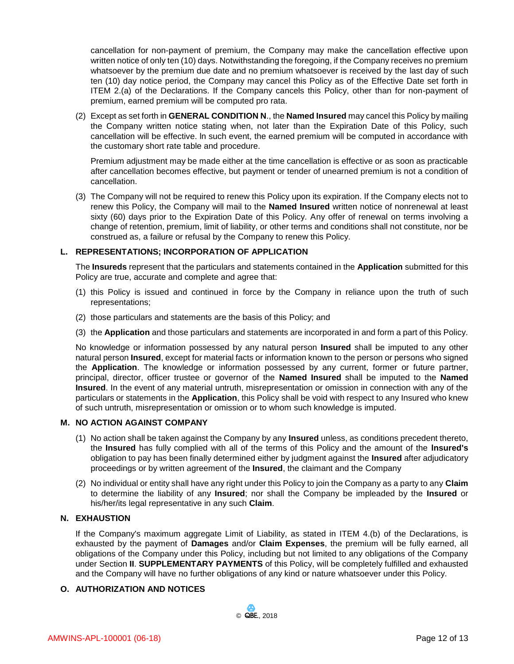cancellation for non-payment of premium, the Company may make the cancellation effective upon written notice of only ten (10) days. Notwithstanding the foregoing, if the Company receives no premium whatsoever by the premium due date and no premium whatsoever is received by the last day of such ten (10) day notice period, the Company may cancel this Policy as of the Effective Date set forth in ITEM 2.(a) of the Declarations. If the Company cancels this Policy, other than for non-payment of premium, earned premium will be computed pro rata.

(2) Except as set forth in **GENERAL CONDITION N**., the **Named Insured** may cancel this Policy by mailing the Company written notice stating when, not later than the Expiration Date of this Policy, such cancellation will be effective. ln such event, the earned premium will be computed in accordance with the customary short rate table and procedure.

Premium adjustment may be made either at the time cancellation is effective or as soon as practicable after cancellation becomes effective, but payment or tender of unearned premium is not a condition of cancellation.

(3) The Company will not be required to renew this Policy upon its expiration. If the Company elects not to renew this Policy, the Company will mail to the **Named Insured** written notice of nonrenewal at least sixty (60) days prior to the Expiration Date of this Policy. Any offer of renewal on terms involving a change of retention, premium, limit of liability, or other terms and conditions shall not constitute, nor be construed as, a failure or refusal by the Company to renew this Policy.

## **L. REPRESENTATIONS; INCORPORATION OF APPLICATION**

The **Insureds** represent that the particulars and statements contained in the **Application** submitted for this Policy are true, accurate and complete and agree that:

- (1) this Policy is issued and continued in force by the Company in reliance upon the truth of such representations;
- (2) those particulars and statements are the basis of this Policy; and
- (3) the **Application** and those particulars and statements are incorporated in and form a part of this Policy.

No knowledge or information possessed by any natural person **Insured** shall be imputed to any other natural person **Insured**, except for material facts or information known to the person or persons who signed the **Application**. The knowledge or information possessed by any current, former or future partner, principal, director, officer trustee or governor of the **Named Insured** shall be imputed to the **Named Insured**. In the event of any material untruth, misrepresentation or omission in connection with any of the particulars or statements in the **Application**, this Policy shall be void with respect to any Insured who knew of such untruth, misrepresentation or omission or to whom such knowledge is imputed.

#### **M. NO ACTION AGAINST COMPANY**

- (1) No action shall be taken against the Company by any **Insured** unless, as conditions precedent thereto, the **Insured** has fully complied with all of the terms of this Policy and the amount of the **lnsured's** obligation to pay has been finally determined either by judgment against the **Insured** after adjudicatory proceedings or by written agreement of the **Insured**, the claimant and the Company
- (2) No individual or entity shall have any right under this Policy to join the Company as a party to any **Claim** to determine the liability of any **Insured**; nor shall the Company be impleaded by the **Insured** or his/her/its legal representative in any such **Claim**.

## **N. EXHAUSTION**

If the Company's maximum aggregate Limit of Liability, as stated in ITEM 4.(b) of the Declarations, is exhausted by the payment of **Damages** and/or **Claim Expenses**, the premium will be fully earned, all obligations of the Company under this Policy, including but not limited to any obligations of the Company under Section **II**. **SUPPLEMENTARY PAYMENTS** of this Policy, will be completely fulfilled and exhausted and the Company will have no further obligations of any kind or nature whatsoever under this Policy.

#### **O. AUTHORIZATION AND NOTICES**